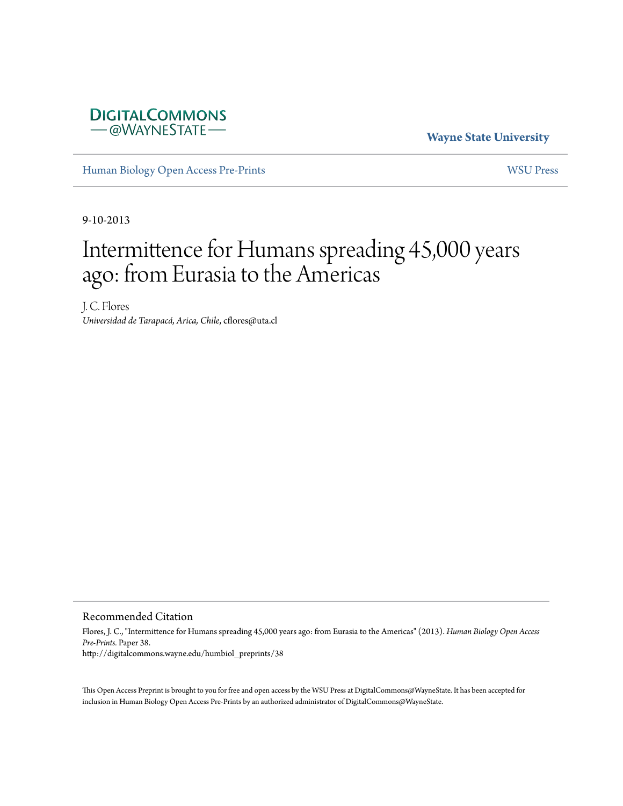

**Wayne State University**

[Human Biology Open Access Pre-Prints](http://digitalcommons.wayne.edu/humbiol_preprints) [WSU Press](http://digitalcommons.wayne.edu/wsupress)

9-10-2013

## Intermittence for Humans spreading 45,000 years ago: from Eurasia to the Americas

J. C. Flores *Universidad de Tarapacá, Arica, Chile*, cflores@uta.cl

Recommended Citation

Flores, J. C., "Intermittence for Humans spreading 45,000 years ago: from Eurasia to the Americas" (2013). *Human Biology Open Access Pre-Prints.* Paper 38. http://digitalcommons.wayne.edu/humbiol\_preprints/38

This Open Access Preprint is brought to you for free and open access by the WSU Press at DigitalCommons@WayneState. It has been accepted for inclusion in Human Biology Open Access Pre-Prints by an authorized administrator of DigitalCommons@WayneState.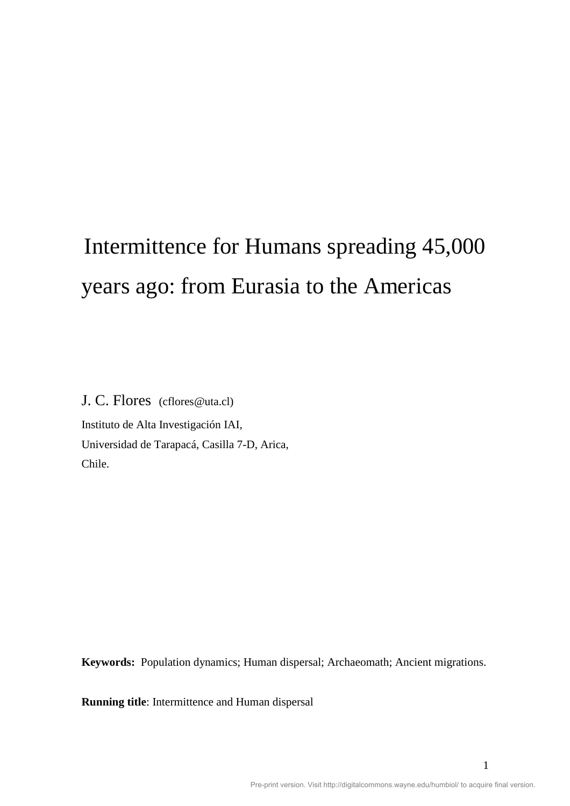# Intermittence for Humans spreading 45,000 years ago: from Eurasia to the Americas

J. C. Flores (cflores@uta.cl) Instituto de Alta Investigación IAI, Universidad de Tarapacá, Casilla 7-D, Arica, Chile.

**Keywords:** Population dynamics; Human dispersal; Archaeomath; Ancient migrations.

**Running title**: Intermittence and Human dispersal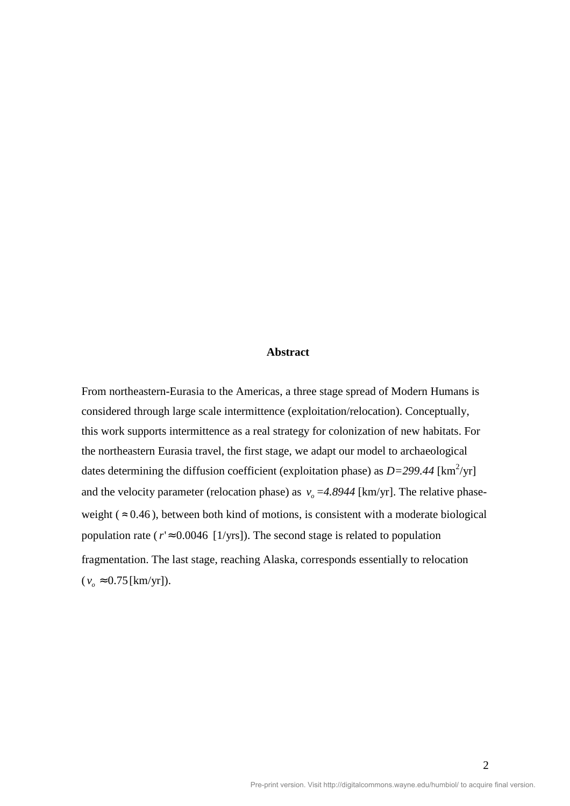## **Abstract**

From northeastern-Eurasia to the Americas, a three stage spread of Modern Humans is considered through large scale intermittence (exploitation/relocation). Conceptually, this work supports intermittence as a real strategy for colonization of new habitats. For the northeastern Eurasia travel, the first stage, we adapt our model to archaeological dates determining the diffusion coefficient (exploitation phase) as  $D=299.44$  [km<sup>2</sup>/yr] and the velocity parameter (relocation phase) as  $v<sub>o</sub> = 4.8944$  [km/yr]. The relative phaseweight ( $\approx 0.46$ ), between both kind of motions, is consistent with a moderate biological population rate ( $r \approx 0.0046$  [1/yrs]). The second stage is related to population fragmentation. The last stage, reaching Alaska, corresponds essentially to relocation  $(v_{o} \approx 0.75 \, [\text{km/yr}]).$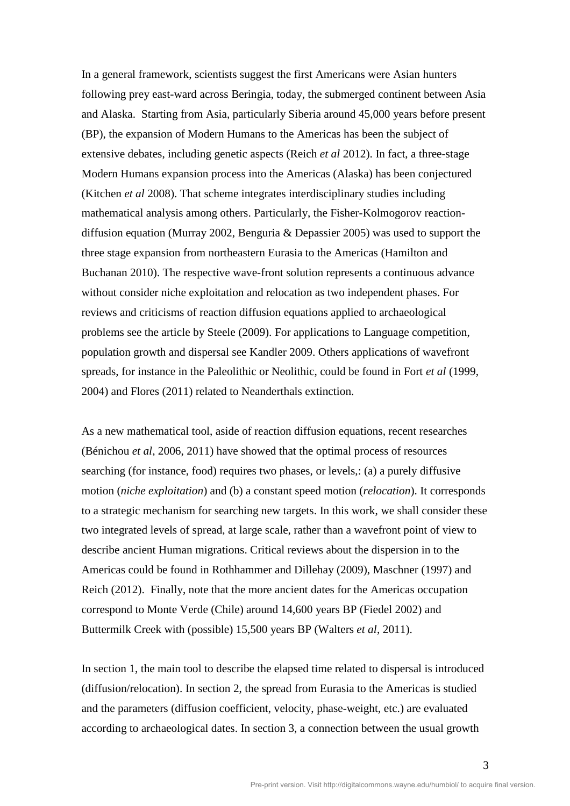In a general framework, scientists suggest the first Americans were Asian hunters following prey east-ward across Beringia, today, the submerged continent between Asia and Alaska. Starting from Asia, particularly Siberia around 45,000 years before present (BP), the expansion of Modern Humans to the Americas has been the subject of extensive debates, including genetic aspects (Reich *et al* 2012). In fact, a three-stage Modern Humans expansion process into the Americas (Alaska) has been conjectured (Kitchen *et al* 2008). That scheme integrates interdisciplinary studies including mathematical analysis among others. Particularly, the Fisher-Kolmogorov reactiondiffusion equation (Murray 2002, Benguria & Depassier 2005) was used to support the three stage expansion from northeastern Eurasia to the Americas (Hamilton and Buchanan 2010). The respective wave-front solution represents a continuous advance without consider niche exploitation and relocation as two independent phases. For reviews and criticisms of reaction diffusion equations applied to archaeological problems see the article by Steele (2009). For applications to Language competition, population growth and dispersal see Kandler 2009. Others applications of wavefront spreads, for instance in the Paleolithic or Neolithic, could be found in Fort *et al* (1999, 2004) and Flores (2011) related to Neanderthals extinction.

As a new mathematical tool, aside of reaction diffusion equations, recent researches (Bénichou *et al*, 2006, 2011) have showed that the optimal process of resources searching (for instance, food) requires two phases, or levels,: (a) a purely diffusive motion (*niche exploitation*) and (b) a constant speed motion (*relocation*). It corresponds to a strategic mechanism for searching new targets. In this work, we shall consider these two integrated levels of spread, at large scale, rather than a wavefront point of view to describe ancient Human migrations. Critical reviews about the dispersion in to the Americas could be found in Rothhammer and Dillehay (2009), Maschner (1997) and Reich (2012). Finally, note that the more ancient dates for the Americas occupation correspond to Monte Verde (Chile) around 14,600 years BP (Fiedel 2002) and Buttermilk Creek with (possible) 15,500 years BP (Walters *et al*, 2011).

In section 1, the main tool to describe the elapsed time related to dispersal is introduced (diffusion/relocation). In section 2, the spread from Eurasia to the Americas is studied and the parameters (diffusion coefficient, velocity, phase-weight, etc.) are evaluated according to archaeological dates. In section 3, a connection between the usual growth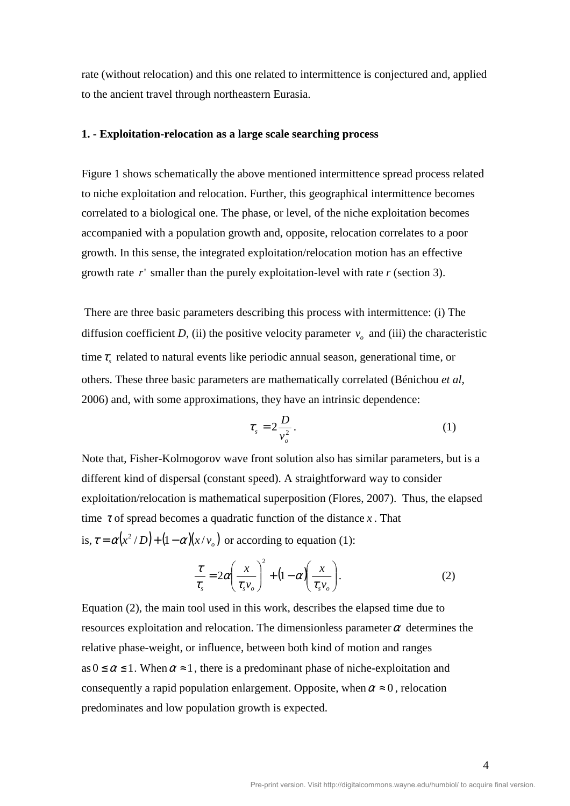rate (without relocation) and this one related to intermittence is conjectured and, applied to the ancient travel through northeastern Eurasia.

## **1. - Exploitation-relocation as a large scale searching process**

Figure 1 shows schematically the above mentioned intermittence spread process related to niche exploitation and relocation. Further, this geographical intermittence becomes correlated to a biological one. The phase, or level, of the niche exploitation becomes accompanied with a population growth and, opposite, relocation correlates to a poor growth. In this sense, the integrated exploitation/relocation motion has an effective growth rate *r*' smaller than the purely exploitation-level with rate *r* (section 3).

 There are three basic parameters describing this process with intermittence: (i) The diffusion coefficient *D*, (ii) the positive velocity parameter  $v<sub>o</sub>$  and (iii) the characteristic time  $\tau$ <sub>s</sub> related to natural events like periodic annual season, generational time, or others. These three basic parameters are mathematically correlated (Bénichou *et al*, 2006) and, with some approximations, they have an intrinsic dependence:

$$
\tau_s = 2 \frac{D}{v_o^2} \,. \tag{1}
$$

Note that, Fisher-Kolmogorov wave front solution also has similar parameters, but is a different kind of dispersal (constant speed). A straightforward way to consider exploitation/relocation is mathematical superposition (Flores, 2007). Thus, the elapsed time  $\tau$  of spread becomes a quadratic function of the distance  $\chi$ . That is,  $\tau = \alpha (x^2/D) + (1 - \alpha)(x/v_0)$  or according to equation (1):

$$
\frac{\tau}{\tau_s} = 2\alpha \left(\frac{x}{\tau_s v_o}\right)^2 + \left(1 - \alpha \right) \left(\frac{x}{\tau_s v_o}\right). \tag{2}
$$

Equation (2), the main tool used in this work, describes the elapsed time due to resources exploitation and relocation. The dimensionless parameter  $\alpha$  determines the relative phase-weight, or influence, between both kind of motion and ranges  $as 0 \le \alpha \le 1$ . When  $\alpha \approx 1$ , there is a predominant phase of niche-exploitation and consequently a rapid population enlargement. Opposite, when  $\alpha \approx 0$ , relocation predominates and low population growth is expected.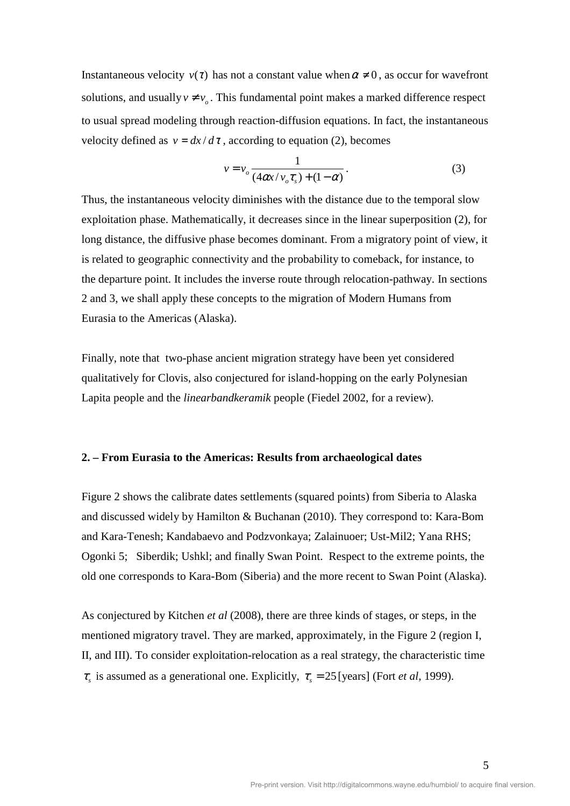Instantaneous velocity  $v(\tau)$  has not a constant value when  $\alpha \neq 0$ , as occur for wavefront solutions, and usually  $v \neq v_0$ . This fundamental point makes a marked difference respect to usual spread modeling through reaction-diffusion equations. In fact, the instantaneous velocity defined as  $v = dx/d\tau$ , according to equation (2), becomes

$$
v = v_o \frac{1}{(4\alpha x/v_o \tau_s) + (1 - \alpha)}.
$$
 (3)

Thus, the instantaneous velocity diminishes with the distance due to the temporal slow exploitation phase. Mathematically, it decreases since in the linear superposition (2), for long distance, the diffusive phase becomes dominant. From a migratory point of view, it is related to geographic connectivity and the probability to comeback, for instance, to the departure point. It includes the inverse route through relocation-pathway. In sections 2 and 3, we shall apply these concepts to the migration of Modern Humans from Eurasia to the Americas (Alaska).

Finally, note that two-phase ancient migration strategy have been yet considered qualitatively for Clovis, also conjectured for island-hopping on the early Polynesian Lapita people and the *linearbandkeramik* people (Fiedel 2002, for a review).

## **2. – From Eurasia to the Americas: Results from archaeological dates**

Figure 2 shows the calibrate dates settlements (squared points) from Siberia to Alaska and discussed widely by Hamilton & Buchanan (2010). They correspond to: Kara-Bom and Kara-Tenesh; Kandabaevo and Podzvonkaya; Zalainuoer; Ust-Mil2; Yana RHS; Ogonki 5; Siberdik; Ushkl; and finally Swan Point. Respect to the extreme points, the old one corresponds to Kara-Bom (Siberia) and the more recent to Swan Point (Alaska).

As conjectured by Kitchen *et al* (2008), there are three kinds of stages, or steps, in the mentioned migratory travel. They are marked, approximately, in the Figure 2 (region I, II, and III). To consider exploitation-relocation as a real strategy, the characteristic time  $\tau_s$  is assumed as a generational one. Explicitly,  $\tau_s = 25$  [years] (Fort *et al*, 1999).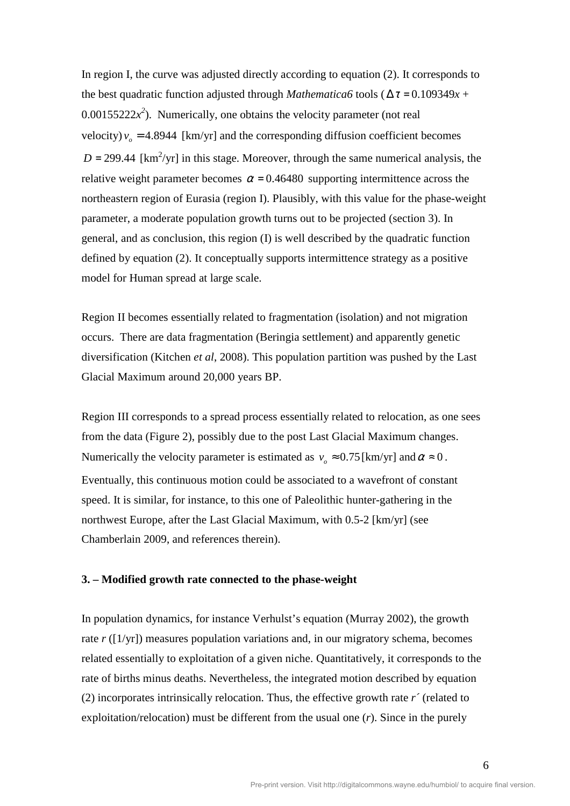In region I, the curve was adjusted directly according to equation (2). It corresponds to the best quadratic function adjusted through *Mathematica6* tools ( $\Delta \tau = 0.109349x +$  $0.00155222x^2$ ). Numerically, one obtains the velocity parameter (not real velocity)  $v_o = 4.8944$  [km/yr] and the corresponding diffusion coefficient becomes  $D = 299.44$  [km<sup>2</sup>/yr] in this stage. Moreover, through the same numerical analysis, the relative weight parameter becomes  $\alpha$  = 0.46480 supporting intermittence across the northeastern region of Eurasia (region I). Plausibly, with this value for the phase-weight parameter, a moderate population growth turns out to be projected (section 3). In general, and as conclusion, this region (I) is well described by the quadratic function defined by equation (2). It conceptually supports intermittence strategy as a positive model for Human spread at large scale.

Region II becomes essentially related to fragmentation (isolation) and not migration occurs. There are data fragmentation (Beringia settlement) and apparently genetic diversification (Kitchen *et al*, 2008). This population partition was pushed by the Last Glacial Maximum around 20,000 years BP.

Region III corresponds to a spread process essentially related to relocation, as one sees from the data (Figure 2), possibly due to the post Last Glacial Maximum changes. Numerically the velocity parameter is estimated as  $v_a \approx 0.75$  [km/yr] and  $\alpha \approx 0$ . Eventually, this continuous motion could be associated to a wavefront of constant speed. It is similar, for instance, to this one of Paleolithic hunter-gathering in the northwest Europe, after the Last Glacial Maximum, with 0.5-2 [km/yr] (see Chamberlain 2009, and references therein).

## **3. – Modified growth rate connected to the phase-weight**

In population dynamics, for instance Verhulst's equation (Murray 2002), the growth rate *r* ([1/yr]) measures population variations and, in our migratory schema, becomes related essentially to exploitation of a given niche. Quantitatively, it corresponds to the rate of births minus deaths. Nevertheless, the integrated motion described by equation (2) incorporates intrinsically relocation. Thus, the effective growth rate *r´* (related to exploitation/relocation) must be different from the usual one (*r*). Since in the purely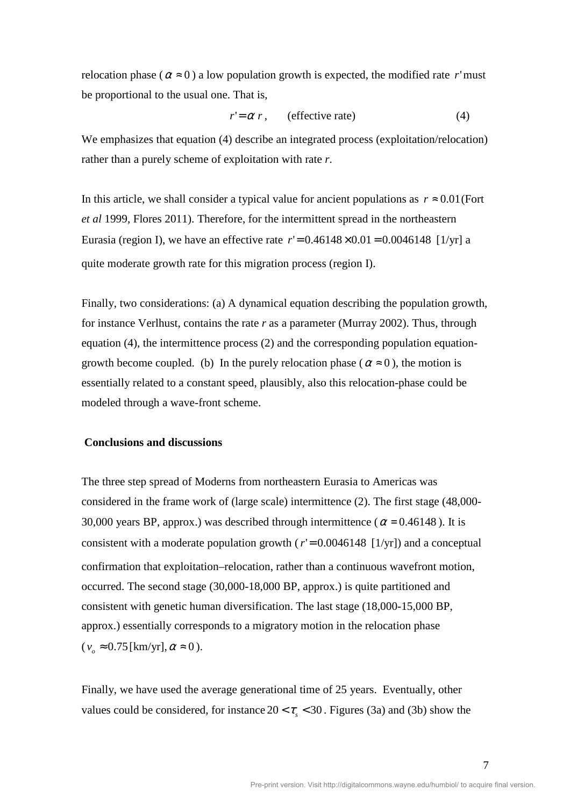relocation phase ( $\alpha \approx 0$ ) a low population growth is expected, the modified rate *r*'must be proportional to the usual one. That is,

$$
r' = \alpha r, \qquad \text{(effective rate)} \tag{4}
$$

We emphasizes that equation (4) describe an integrated process (exploitation/relocation) rather than a purely scheme of exploitation with rate *r*.

In this article, we shall consider a typical value for ancient populations as  $r \approx 0.01$  (Fort *et al* 1999, Flores 2011). Therefore, for the intermittent spread in the northeastern Eurasia (region I), we have an effective rate  $r' = 0.46148 \times 0.01 = 0.0046148$ . [1/yr] a quite moderate growth rate for this migration process (region I).

Finally, two considerations: (a) A dynamical equation describing the population growth, for instance Verlhust, contains the rate *r* as a parameter (Murray 2002). Thus, through equation (4), the intermittence process (2) and the corresponding population equationgrowth become coupled. (b) In the purely relocation phase ( $\alpha \approx 0$ ), the motion is essentially related to a constant speed, plausibly, also this relocation-phase could be modeled through a wave-front scheme.

### **Conclusions and discussions**

The three step spread of Moderns from northeastern Eurasia to Americas was considered in the frame work of (large scale) intermittence (2). The first stage (48,000- 30,000 years BP, approx.) was described through intermittence ( $\alpha$  = 0.46148). It is consistent with a moderate population growth ( $r' = 0.0046148$  [1/yr]) and a conceptual confirmation that exploitation–relocation, rather than a continuous wavefront motion, occurred. The second stage (30,000-18,000 BP, approx.) is quite partitioned and consistent with genetic human diversification. The last stage (18,000-15,000 BP, approx.) essentially corresponds to a migratory motion in the relocation phase  $(v<sub>o</sub> \approx 0.75$ [km/yr],  $\alpha \approx 0$ ).

Finally, we have used the average generational time of 25 years. Eventually, other values could be considered, for instance  $20 < \tau_s < 30$ . Figures (3a) and (3b) show the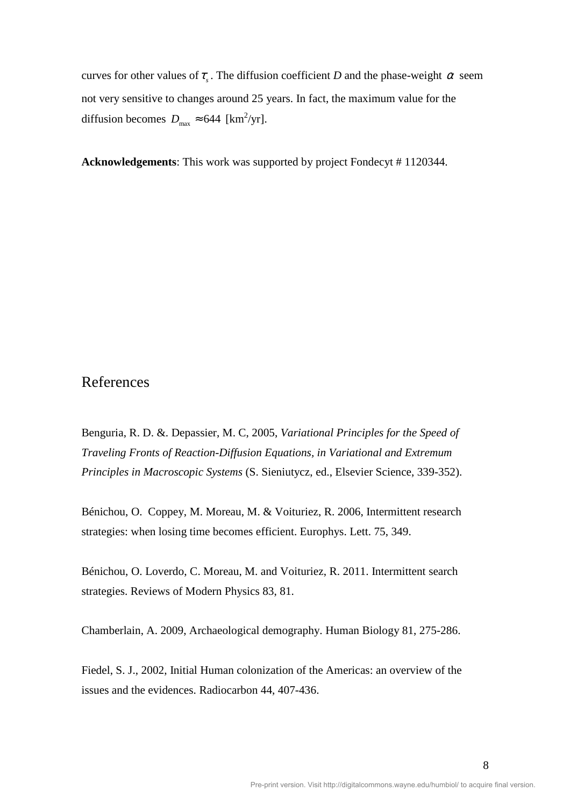curves for other values of  $\tau_s$ . The diffusion coefficient *D* and the phase-weight  $\alpha$  seem not very sensitive to changes around 25 years. In fact, the maximum value for the diffusion becomes  $D_{\text{max}} \approx 644 \text{ [km}^2/\text{yr}].$ 

**Acknowledgements**: This work was supported by project Fondecyt # 1120344.

## References

Benguria, R. D. &. Depassier, M. C, 2005, *Variational Principles for the Speed of Traveling Fronts of Reaction-Diffusion Equations, in Variational and Extremum Principles in Macroscopic Systems* (S. Sieniutycz, ed., Elsevier Science, 339-352).

Bénichou, O. Coppey, M. Moreau, M. & Voituriez, R. 2006, Intermittent research strategies: when losing time becomes efficient. Europhys. Lett. 75, 349.

Bénichou, O. Loverdo, C. Moreau, M. and Voituriez, R. 2011. Intermittent search strategies. Reviews of Modern Physics 83, 81.

Chamberlain, A. 2009, Archaeological demography. Human Biology 81, 275-286.

Fiedel, S. J., 2002, Initial Human colonization of the Americas: an overview of the issues and the evidences. Radiocarbon 44, 407-436.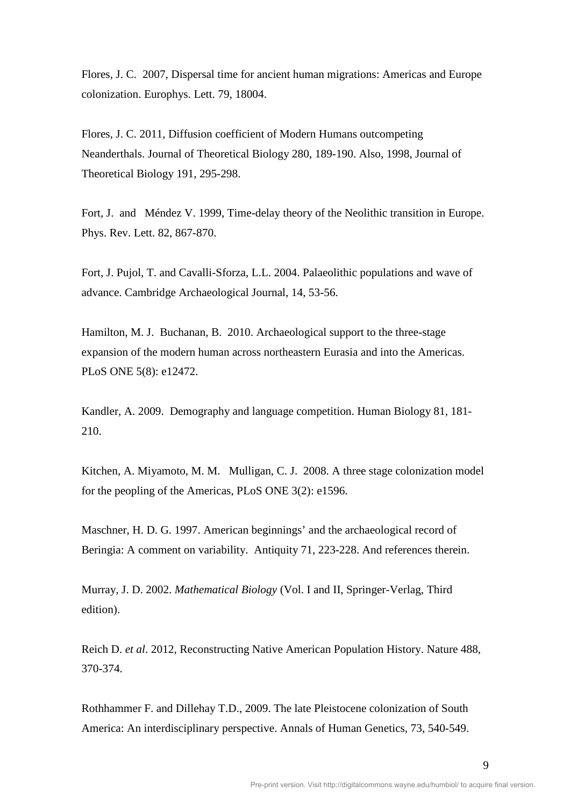Flores, J. C. 2007, Dispersal time for ancient human migrations: Americas and Europe colonization. Europhys. Lett. 79, 18004.

Flores, J. C. 2011, Diffusion coefficient of Modern Humans outcompeting Neanderthals. Journal of Theoretical Biology 280, 189-190. Also, 1998, Journal of Theoretical Biology 191, 295-298.

Fort, J. and Méndez V. 1999, Time-delay theory of the Neolithic transition in Europe. Phys. Rev. Lett. 82, 867-870.

Fort, J. Pujol, T. and Cavalli-Sforza, L.L. 2004. Palaeolithic populations and wave of advance. Cambridge Archaeological Journal, 14, 53-56.

Hamilton, M. J. Buchanan, B. 2010. Archaeological support to the three-stage expansion of the modern human across northeastern Eurasia and into the Americas. PLoS ONE 5(8): e12472.

Kandler, A. 2009. Demography and language competition. Human Biology 81, 181- 210.

Kitchen, A. Miyamoto, M. M. Mulligan, C. J. 2008. A three stage colonization model for the peopling of the Americas, PLoS ONE 3(2): e1596.

Maschner, H. D. G. 1997. American beginnings' and the archaeological record of Beringia: A comment on variability. Antiquity 71, 223-228. And references therein.

Murray*,* J. D. 2002. *Mathematical Biology* (Vol. I and II, Springer-Verlag, Third edition).

Reich D. *et al*. 2012, Reconstructing Native American Population History. Nature 488, 370-374.

Rothhammer F. and Dillehay T.D., 2009. The late Pleistocene colonization of South America: An interdisciplinary perspective. Annals of Human Genetics, 73, 540-549.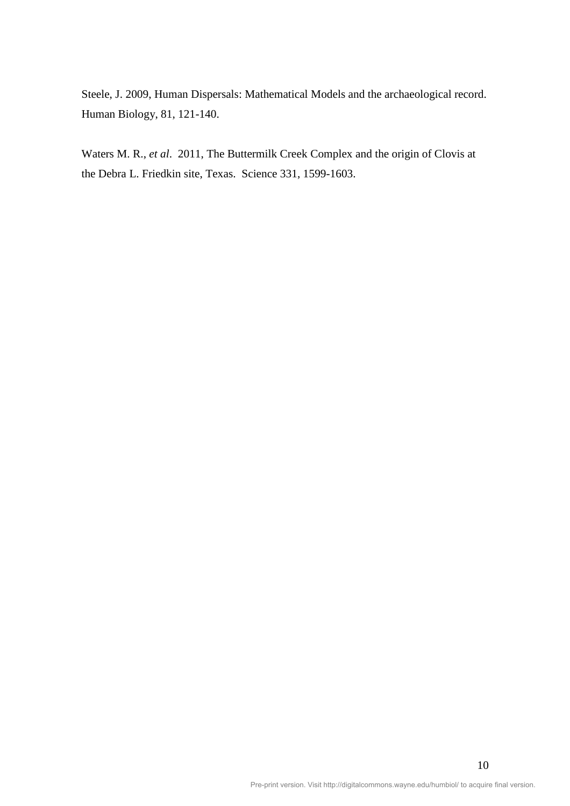Steele, J. 2009, Human Dispersals: Mathematical Models and the archaeological record. Human Biology, 81, 121-140.

Waters M. R., *et al*. 2011, The Buttermilk Creek Complex and the origin of Clovis at the Debra L. Friedkin site, Texas. Science 331, 1599-1603.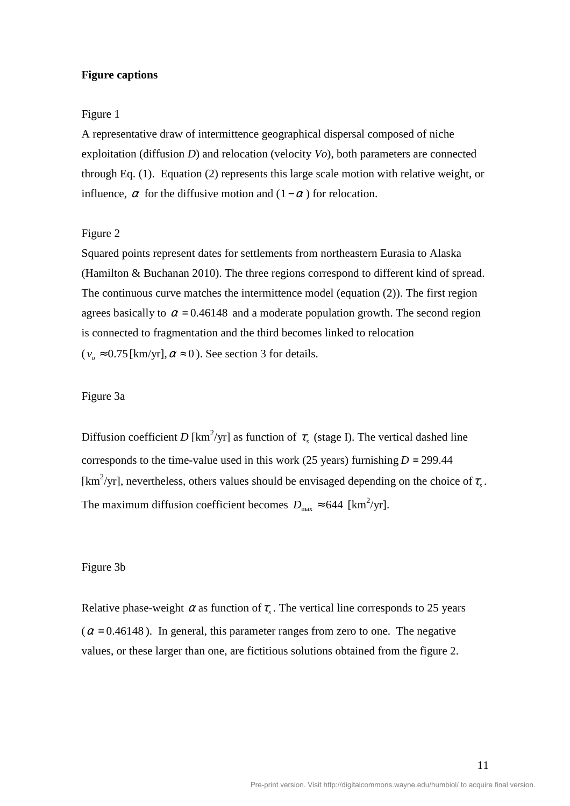## **Figure captions**

## Figure 1

A representative draw of intermittence geographical dispersal composed of niche exploitation (diffusion *D*) and relocation (velocity *Vo*), both parameters are connected through Eq. (1). Equation (2) represents this large scale motion with relative weight, or influence,  $\alpha$  for the diffusive motion and  $(1 - \alpha)$  for relocation.

## Figure 2

Squared points represent dates for settlements from northeastern Eurasia to Alaska (Hamilton & Buchanan 2010). The three regions correspond to different kind of spread. The continuous curve matches the intermittence model (equation (2)). The first region agrees basically to  $\alpha = 0.46148$  and a moderate population growth. The second region is connected to fragmentation and the third becomes linked to relocation  $(v_0 \approx 0.75 \text{ [km/yr]}, \alpha \approx 0)$ . See section 3 for details.

## Figure 3a

Diffusion coefficient *D* [km<sup>2</sup>/yr] as function of  $\tau_s$  (stage I). The vertical dashed line corresponds to the time-value used in this work (25 years) furnishing  $D = 299.44$ . [km<sup>2</sup>/yr], nevertheless, others values should be envisaged depending on the choice of  $\tau_s$ . The maximum diffusion coefficient becomes  $D_{\text{max}} \approx 644 \text{ [km}^2/\text{yr}].$ 

#### Figure 3b

Relative phase-weight  $\alpha$  as function of  $\tau_s$ . The vertical line corresponds to 25 years ( $\alpha$  = 0.46148). In general, this parameter ranges from zero to one. The negative values, or these larger than one, are fictitious solutions obtained from the figure 2.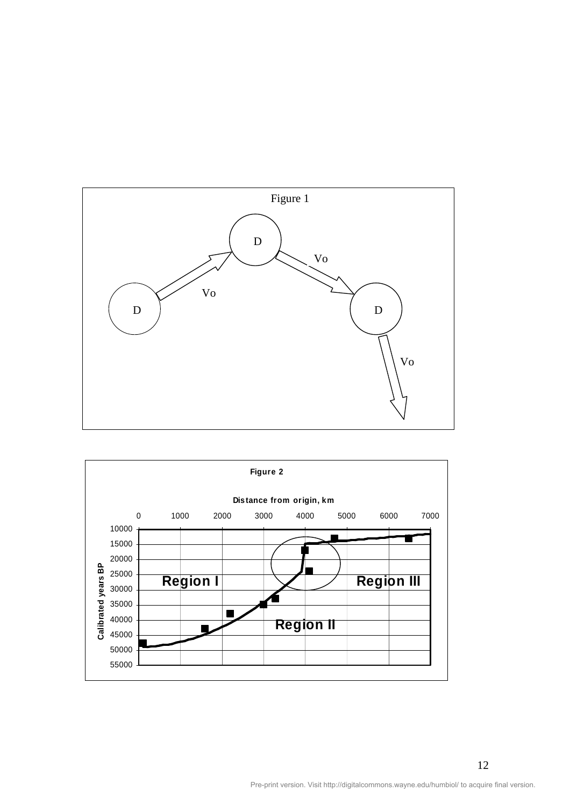